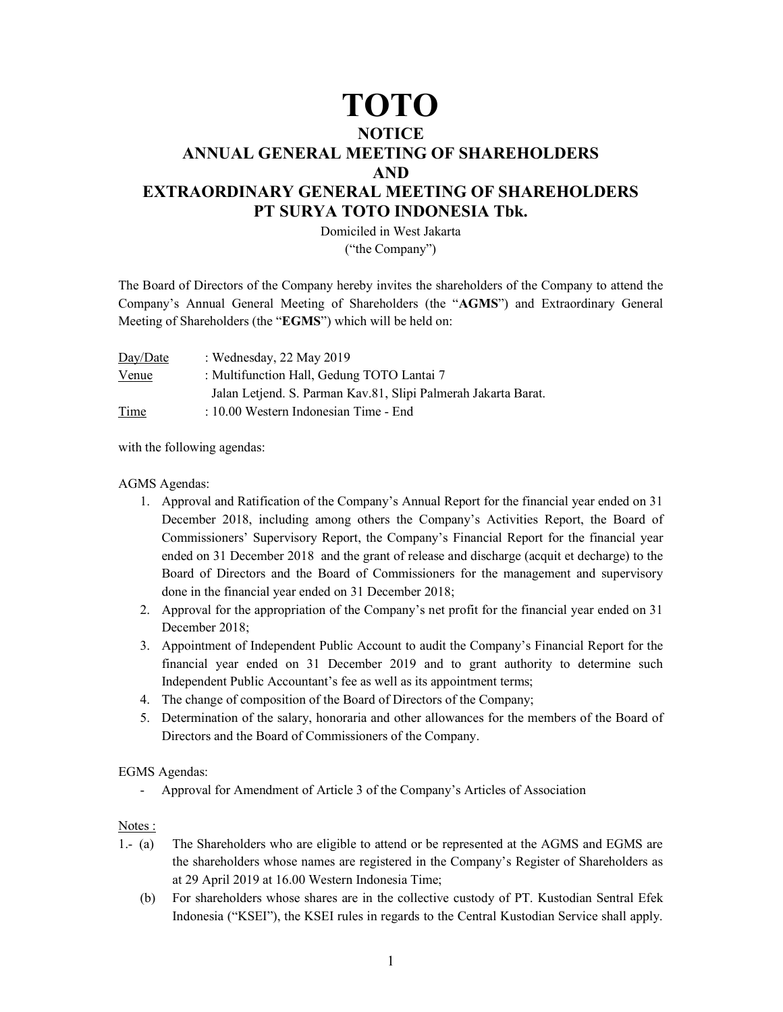## TOTO

## **NOTICE** ANNUAL GENERAL MEETING OF SHAREHOLDERS AND EXTRAORDINARY GENERAL MEETING OF SHAREHOLDERS PT SURYA TOTO INDONESIA Tbk.

Domiciled in West Jakarta ("the Company")

The Board of Directors of the Company hereby invites the shareholders of the Company to attend the Company's Annual General Meeting of Shareholders (the "AGMS") and Extraordinary General Meeting of Shareholders (the "EGMS") which will be held on:

| Day/Date     | : Wednesday, $22$ May $2019$                                   |
|--------------|----------------------------------------------------------------|
| <u>Venue</u> | : Multifunction Hall, Gedung TOTO Lantai 7                     |
|              | Jalan Letjend. S. Parman Kav.81, Slipi Palmerah Jakarta Barat. |
| Time         | $\pm 10.00$ Western Indonesian Time - End                      |

with the following agendas:

AGMS Agendas:

- 1. Approval and Ratification of the Company's Annual Report for the financial year ended on 31 December 2018, including among others the Company's Activities Report, the Board of Commissioners' Supervisory Report, the Company's Financial Report for the financial year ended on 31 December 2018 and the grant of release and discharge (acquit et decharge) to the Board of Directors and the Board of Commissioners for the management and supervisory done in the financial year ended on 31 December 2018;
- 2. Approval for the appropriation of the Company's net profit for the financial year ended on 31 December 2018;
- 3. Appointment of Independent Public Account to audit the Company's Financial Report for the financial year ended on 31 December 2019 and to grant authority to determine such Independent Public Accountant's fee as well as its appointment terms;
- 4. The change of composition of the Board of Directors of the Company;
- 5. Determination of the salary, honoraria and other allowances for the members of the Board of Directors and the Board of Commissioners of the Company.

## EGMS Agendas:

- Approval for Amendment of Article 3 of the Company's Articles of Association

## Notes :

- 1.- (a) The Shareholders who are eligible to attend or be represented at the AGMS and EGMS are the shareholders whose names are registered in the Company's Register of Shareholders as at 29 April 2019 at 16.00 Western Indonesia Time;
	- (b) For shareholders whose shares are in the collective custody of PT. Kustodian Sentral Efek Indonesia ("KSEI"), the KSEI rules in regards to the Central Kustodian Service shall apply.